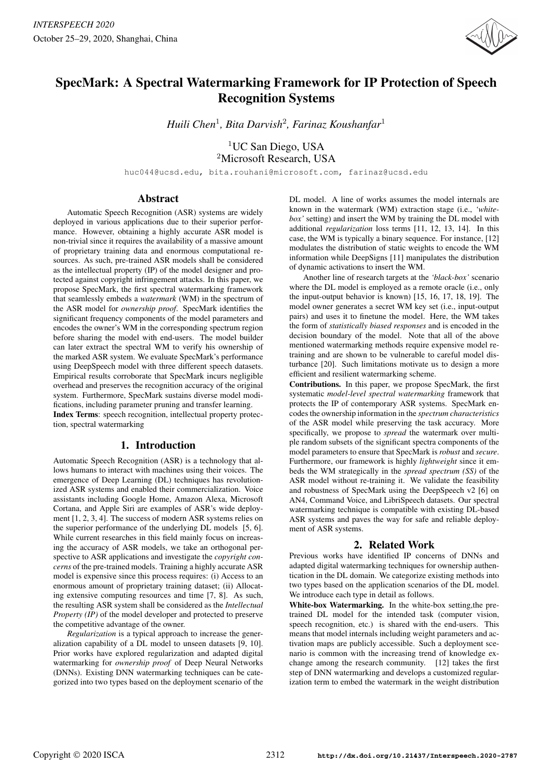

# SpecMark: A Spectral Watermarking Framework for IP Protection of Speech Recognition Systems

*Huili Chen*<sup>1</sup> *, Bita Darvish*<sup>2</sup> *, Farinaz Koushanfar*<sup>1</sup>

<sup>1</sup>UC San Diego, USA <sup>2</sup>Microsoft Research, USA

huc044@ucsd.edu, bita.rouhani@microsoft.com, farinaz@ucsd.edu

## Abstract

Automatic Speech Recognition (ASR) systems are widely deployed in various applications due to their superior performance. However, obtaining a highly accurate ASR model is non-trivial since it requires the availability of a massive amount of proprietary training data and enormous computational resources. As such, pre-trained ASR models shall be considered as the intellectual property (IP) of the model designer and protected against copyright infringement attacks. In this paper, we propose SpecMark, the first spectral watermarking framework that seamlessly embeds a *watermark* (WM) in the spectrum of the ASR model for *ownership proof*. SpecMark identifies the significant frequency components of the model parameters and encodes the owner's WM in the corresponding spectrum region before sharing the model with end-users. The model builder can later extract the spectral WM to verify his ownership of the marked ASR system. We evaluate SpecMark's performance using DeepSpeech model with three different speech datasets. Empirical results corroborate that SpecMark incurs negligible overhead and preserves the recognition accuracy of the original system. Furthermore, SpecMark sustains diverse model modifications, including parameter pruning and transfer learning. Index Terms: speech recognition, intellectual property protection, spectral watermarking

# 1. Introduction

Automatic Speech Recognition (ASR) is a technology that allows humans to interact with machines using their voices. The emergence of Deep Learning (DL) techniques has revolutionized ASR systems and enabled their commercialization. Voice assistants including Google Home, Amazon Alexa, Microsoft Cortana, and Apple Siri are examples of ASR's wide deployment [1, 2, 3, 4]. The success of modern ASR systems relies on the superior performance of the underlying DL models [5, 6]. While current researches in this field mainly focus on increasing the accuracy of ASR models, we take an orthogonal perspective to ASR applications and investigate the *copyright concerns* of the pre-trained models. Training a highly accurate ASR model is expensive since this process requires: (i) Access to an enormous amount of proprietary training dataset; (ii) Allocating extensive computing resources and time [7, 8]. As such, the resulting ASR system shall be considered as the *Intellectual Property (IP)* of the model developer and protected to preserve the competitive advantage of the owner.

*Regularization* is a typical approach to increase the generalization capability of a DL model to unseen datasets [9, 10]. Prior works have explored regularization and adapted digital watermarking for *ownership proof* of Deep Neural Networks (DNNs). Existing DNN watermarking techniques can be categorized into two types based on the deployment scenario of the DL model. A line of works assumes the model internals are known in the watermark (WM) extraction stage (i.e., *'whitebox'* setting) and insert the WM by training the DL model with additional *regularization* loss terms [11, 12, 13, 14]. In this case, the WM is typically a binary sequence. For instance, [12] modulates the distribution of static weights to encode the WM information while DeepSigns [11] manipulates the distribution of dynamic activations to insert the WM.

Another line of research targets at the *'black-box'* scenario where the DL model is employed as a remote oracle (i.e., only the input-output behavior is known) [15, 16, 17, 18, 19]. The model owner generates a secret WM key set (i.e., input-output pairs) and uses it to finetune the model. Here, the WM takes the form of *statistically biased responses* and is encoded in the decision boundary of the model. Note that all of the above mentioned watermarking methods require expensive model retraining and are shown to be vulnerable to careful model disturbance [20]. Such limitations motivate us to design a more efficient and resilient watermarking scheme.

Contributions. In this paper, we propose SpecMark, the first systematic *model-level spectral watermarking* framework that protects the IP of contemporary ASR systems. SpecMark encodes the ownership information in the *spectrum characteristics* of the ASR model while preserving the task accuracy. More specifically, we propose to *spread* the watermark over multiple random subsets of the significant spectra components of the model parameters to ensure that SpecMark is *robust* and *secure*. Furthermore, our framework is highly *lightweight* since it embeds the WM strategically in the *spread spectrum (SS)* of the ASR model without re-training it. We validate the feasibility and robustness of SpecMark using the DeepSpeech v2 [6] on AN4, Command Voice, and LibriSpeech datasets. Our spectral watermarking technique is compatible with existing DL-based ASR systems and paves the way for safe and reliable deployment of ASR systems.

# 2. Related Work

Previous works have identified IP concerns of DNNs and adapted digital watermarking techniques for ownership authentication in the DL domain. We categorize existing methods into two types based on the application scenarios of the DL model. We introduce each type in detail as follows.

White-box Watermarking. In the white-box setting, the pretrained DL model for the intended task (computer vision, speech recognition, etc.) is shared with the end-users. This means that model internals including weight parameters and activation maps are publicly accessible. Such a deployment scenario is common with the increasing trend of knowledge exchange among the research community. [12] takes the first step of DNN watermarking and develops a customized regularization term to embed the watermark in the weight distribution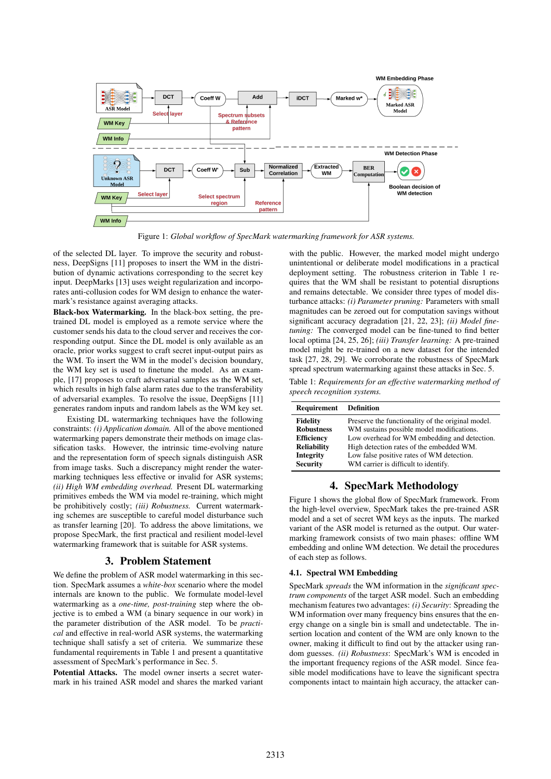

Figure 1: *Global workflow of SpecMark watermarking framework for ASR systems.*

of the selected DL layer. To improve the security and robustness, DeepSigns [11] proposes to insert the WM in the distribution of dynamic activations corresponding to the secret key input. DeepMarks [13] uses weight regularization and incorporates anti-collusion codes for WM design to enhance the watermark's resistance against averaging attacks.

Black-box Watermarking. In the black-box setting, the pretrained DL model is employed as a remote service where the customer sends his data to the cloud server and receives the corresponding output. Since the DL model is only available as an oracle, prior works suggest to craft secret input-output pairs as the WM. To insert the WM in the model's decision boundary, the WM key set is used to finetune the model. As an example, [17] proposes to craft adversarial samples as the WM set, which results in high false alarm rates due to the transferability of adversarial examples. To resolve the issue, DeepSigns [11] generates random inputs and random labels as the WM key set.

Existing DL watermarking techniques have the following constraints: *(i) Application domain.* All of the above mentioned watermarking papers demonstrate their methods on image classification tasks. However, the intrinsic time-evolving nature and the representation form of speech signals distinguish ASR from image tasks. Such a discrepancy might render the watermarking techniques less effective or invalid for ASR systems; *(ii) High WM embedding overhead.* Present DL watermarking primitives embeds the WM via model re-training, which might be prohibitively costly; *(iii) Robustness.* Current watermarking schemes are susceptible to careful model disturbance such as transfer learning [20]. To address the above limitations, we propose SpecMark, the first practical and resilient model-level watermarking framework that is suitable for ASR systems.

# 3. Problem Statement

We define the problem of ASR model watermarking in this section. SpecMark assumes a *white-box* scenario where the model internals are known to the public. We formulate model-level watermarking as a *one-time, post-training* step where the objective is to embed a WM (a binary sequence in our work) in the parameter distribution of the ASR model. To be *practical* and effective in real-world ASR systems, the watermarking technique shall satisfy a set of criteria. We summarize these fundamental requirements in Table 1 and present a quantitative assessment of SpecMark's performance in Sec. 5.

Potential Attacks. The model owner inserts a secret watermark in his trained ASR model and shares the marked variant

with the public. However, the marked model might undergo unintentional or deliberate model modifications in a practical deployment setting. The robustness criterion in Table 1 requires that the WM shall be resistant to potential disruptions and remains detectable. We consider three types of model disturbance attacks: *(i) Parameter pruning:* Parameters with small magnitudes can be zeroed out for computation savings without significant accuracy degradation [21, 22, 23]; *(ii) Model finetuning:* The converged model can be fine-tuned to find better local optima [24, 25, 26]; *(iii) Transfer learning:* A pre-trained model might be re-trained on a new dataset for the intended task [27, 28, 29]. We corroborate the robustness of SpecMark spread spectrum watermarking against these attacks in Sec. 5.

Table 1: *Requirements for an effective watermarking method of speech recognition systems.*

| <b>Requirement</b> Definition |                                                   |
|-------------------------------|---------------------------------------------------|
| <b>Fidelity</b>               | Preserve the functionality of the original model. |
| <b>Robustness</b>             | WM sustains possible model modifications.         |
| <b>Efficiency</b>             | Low overhead for WM embedding and detection.      |
| <b>Reliability</b>            | High detection rates of the embedded WM.          |
| <b>Integrity</b>              | Low false positive rates of WM detection.         |
| <b>Security</b>               | WM carrier is difficult to identify.              |

# 4. SpecMark Methodology

Figure 1 shows the global flow of SpecMark framework. From the high-level overview, SpecMark takes the pre-trained ASR model and a set of secret WM keys as the inputs. The marked variant of the ASR model is returned as the output. Our watermarking framework consists of two main phases: offline WM embedding and online WM detection. We detail the procedures of each step as follows.

## 4.1. Spectral WM Embedding

SpecMark *spreads* the WM information in the *significant spectrum components* of the target ASR model. Such an embedding mechanism features two advantages: *(i) Security*: Spreading the WM information over many frequency bins ensures that the energy change on a single bin is small and undetectable. The insertion location and content of the WM are only known to the owner, making it difficult to find out by the attacker using random guesses. *(ii) Robustness*: SpecMark's WM is encoded in the important frequency regions of the ASR model. Since feasible model modifications have to leave the significant spectra components intact to maintain high accuracy, the attacker can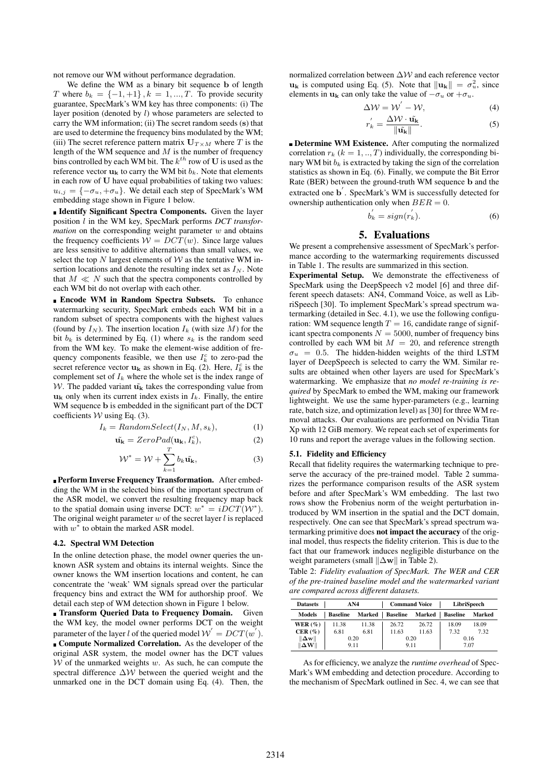not remove our WM without performance degradation.

We define the WM as a binary bit sequence b of length T where  $b_k = \{-1, +1\}$ ,  $k = 1, ..., T$ . To provide security guarantee, SpecMark's WM key has three components: (i) The layer position (denoted by l) whose parameters are selected to carry the WM information; (ii) The secret random seeds (s) that are used to determine the frequency bins modulated by the WM; (iii) The secret reference pattern matrix  $U_{T \times M}$  where T is the length of the WM sequence and  $M$  is the number of frequency bins controlled by each WM bit. The  $k^{th}$  row of U is used as the reference vector  $\mathbf{u}_{k}$  to carry the WM bit  $b_{k}$ . Note that elements in each row of U have equal probabilities of taking two values:  $u_{i,j} = \{-\sigma_u, +\sigma_u\}$ . We detail each step of SpecMark's WM embedding stage shown in Figure 1 below.

Identify Significant Spectra Components. Given the layer position l in the WM key, SpecMark performs *DCT transformation* on the corresponding weight parameter  $w$  and obtains the frequency coefficients  $W = DCT(w)$ . Since large values are less sensitive to additive alternations than small values, we select the top N largest elements of  $W$  as the tentative WM insertion locations and denote the resulting index set as  $I_N$ . Note that  $M \ll N$  such that the spectra components controlled by each WM bit do not overlap with each other.

Encode WM in Random Spectra Subsets. To enhance watermarking security, SpecMark embeds each WM bit in a random subset of spectra components with the highest values (found by  $I_N$ ). The insertion location  $I_k$  (with size M) for the bit  $b_k$  is determined by Eq. (1) where  $s_k$  is the random seed from the WM key. To make the element-wise addition of frequency components feasible, we then use  $I_k^c$  to zero-pad the secret reference vector  $\mathbf{u_k}$  as shown in Eq. (2). Here,  $I_k^c$  is the complement set of  $I_k$  where the whole set is the index range of W. The padded variant  $\tilde{\mathbf{u}_k}$  takes the corresponding value from  $u_k$  only when its current index exists in  $I_k$ . Finally, the entire WM sequence b is embedded in the significant part of the DCT coefficients  $W$  using Eq. (3).

$$
I_k = RandomSelect(I_N, M, s_k), \tag{1}
$$

$$
\tilde{\mathbf{u}_{\mathbf{k}}} = ZeroPad(\mathbf{u}_{\mathbf{k}}, I_k^c),\tag{2}
$$

$$
\mathcal{W}^* = \mathcal{W} + \sum_{k=1}^T b_k \tilde{\mathbf{u}_k},
$$
 (3)

**Perform Inverse Frequency Transformation.** After embedding the WM in the selected bins of the important spectrum of the ASR model, we convert the resulting frequency map back to the spatial domain using inverse DCT:  $w^* = iDCT(W^*)$ . The original weight parameter  $w$  of the secret layer  $l$  is replaced with  $w^*$  to obtain the marked ASR model.

### 4.2. Spectral WM Detection

In the online detection phase, the model owner queries the unknown ASR system and obtains its internal weights. Since the owner knows the WM insertion locations and content, he can concentrate the 'weak' WM signals spread over the particular frequency bins and extract the WM for authorship proof. We detail each step of WM detection shown in Figure 1 below.

**Transform Queried Data to Frequency Domain.** Given the WM key, the model owner performs DCT on the weight parameter of the layer l of the queried model  $W^{'} = DCT(w^{'})$ . Compute Normalized Correlation. As the developer of the original ASR system, the model owner has the DCT values  $W$  of the unmarked weights  $w$ . As such, he can compute the spectral difference ∆W between the queried weight and the unmarked one in the DCT domain using Eq. (4). Then, the

normalized correlation between ∆W and each reference vector  $\mathbf{u}_{\mathbf{k}}$  is computed using Eq. (5). Note that  $\|\mathbf{u}_{\mathbf{k}}\| = \sigma_u^2$ , since elements in  $\mathbf{u}_k$  can only take the value of  $-\sigma_u$  or  $+\sigma_u$ .

$$
\Delta W = W^{'} - W, \tag{4}
$$

$$
r'_{k} = \frac{\Delta \mathcal{W} \cdot \tilde{\mathbf{u}_{k}}}{\|\tilde{\mathbf{u}_{k}}\|}.
$$
 (5)

Determine WM Existence. After computing the normalized correlation  $r_k$  ( $k = 1, ..., T$ ) individually, the corresponding binary WM bit  $b_k$  is extracted by taking the sign of the correlation statistics as shown in Eq. (6). Finally, we compute the Bit Error Rate (BER) between the ground-truth WM sequence b and the extracted one b<sup>'</sup>. SpecMark's WM is successfully detected for ownership authentication only when  $BER = 0$ .

$$
b_k' = sign(r_k'). \tag{6}
$$

#### 5. Evaluations

We present a comprehensive assessment of SpecMark's performance according to the watermarking requirements discussed in Table 1. The results are summarized in this section.

Experimental Setup. We demonstrate the effectiveness of SpecMark using the DeepSpeech v2 model [6] and three different speech datasets: AN4, Command Voice, as well as LibriSpeech [30]. To implement SpecMark's spread spectrum watermarking (detailed in Sec. 4.1), we use the following configuration: WM sequence length  $T = 16$ , candidate range of significant spectra components  $N = 5000$ , number of frequency bins controlled by each WM bit  $M = 20$ , and reference strength  $\sigma_u = 0.5$ . The hidden-hidden weights of the third LSTM layer of DeepSpeech is selected to carry the WM. Similar results are obtained when other layers are used for SpecMark's watermarking. We emphasize that *no model re-training is required* by SpecMark to embed the WM, making our framework lightweight. We use the same hyper-parameters (e.g., learning rate, batch size, and optimization level) as [30] for three WM removal attacks. Our evaluations are performed on Nvidia Titan Xp with 12 GiB memory. We repeat each set of experiments for 10 runs and report the average values in the following section.

#### 5.1. Fidelity and Efficiency

Recall that fidelity requires the watermarking technique to preserve the accuracy of the pre-trained model. Table 2 summarizes the performance comparison results of the ASR system before and after SpecMark's WM embedding. The last two rows show the Frobenius norm of the weight perturbation introduced by WM insertion in the spatial and the DCT domain, respectively. One can see that SpecMark's spread spectrum watermarking primitive does not impact the accuracy of the original model, thus respects the fidelity criterion. This is due to the fact that our framework induces negligible disturbance on the weight parameters (small  $\|\Delta\mathbf{w}\|$  in Table 2).

Table 2: *Fidelity evaluation of SpecMark. The WER and CER of the pre-trained baseline model and the watermarked variant are compared across different datasets.*

| <b>Datasets</b>         | AN4             |        | <b>Command Voice</b> |       | LibriSpeech       |        |
|-------------------------|-----------------|--------|----------------------|-------|-------------------|--------|
| Models                  | <b>Baseline</b> | Marked | <b>Baseline</b>      |       | Marked   Baseline | Marked |
| WER $(\%)$              | 11.38           | 11.38  | 26.72                | 26.72 | 18.09             | 18.09  |
| CER(%)                  | 6.81            | 6.81   | 11.63                | 11.63 | 7.32              | 7.32   |
| $\ \Delta \mathbf{w}\ $ | 0.20            |        | 0.20                 |       | 0.16              |        |
| $\ \Delta \mathbf{W}\ $ | 9.11            |        | 9.11                 |       | 7.07              |        |

As for efficiency, we analyze the *runtime overhead* of Spec-Mark's WM embedding and detection procedure. According to the mechanism of SpecMark outlined in Sec. 4, we can see that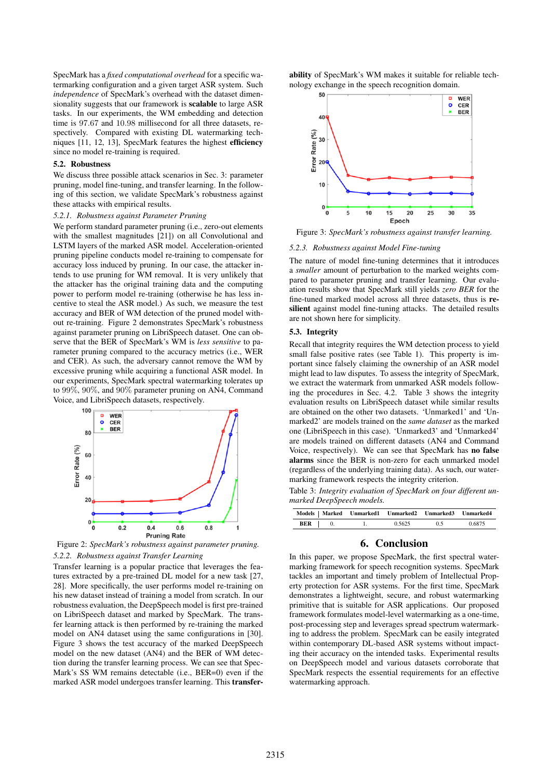SpecMark has a *fixed computational overhead* for a specific watermarking configuration and a given target ASR system. Such *independence* of SpecMark's overhead with the dataset dimensionality suggests that our framework is scalable to large ASR tasks. In our experiments, the WM embedding and detection time is 97.67 and 10.98 millisecond for all three datasets, respectively. Compared with existing DL watermarking techniques [11, 12, 13], SpecMark features the highest efficiency since no model re-training is required.

#### 5.2. Robustness

We discuss three possible attack scenarios in Sec. 3: parameter pruning, model fine-tuning, and transfer learning. In the following of this section, we validate SpecMark's robustness against these attacks with empirical results.

#### *5.2.1. Robustness against Parameter Pruning*

We perform standard parameter pruning (i.e., zero-out elements with the smallest magnitudes [21]) on all Convolutional and LSTM layers of the marked ASR model. Acceleration-oriented pruning pipeline conducts model re-training to compensate for accuracy loss induced by pruning. In our case, the attacker intends to use pruning for WM removal. It is very unlikely that the attacker has the original training data and the computing power to perform model re-training (otherwise he has less incentive to steal the ASR model.) As such, we measure the test accuracy and BER of WM detection of the pruned model without re-training. Figure 2 demonstrates SpecMark's robustness against parameter pruning on LibriSpeech dataset. One can observe that the BER of SpecMark's WM is *less sensitive* to parameter pruning compared to the accuracy metrics (i.e., WER and CER). As such, the adversary cannot remove the WM by excessive pruning while acquiring a functional ASR model. In our experiments, SpecMark spectral watermarking tolerates up to 99%, 90%, and 90% parameter pruning on AN4, Command Voice, and LibriSpeech datasets, respectively.



Figure 2: *SpecMark's robustness against parameter pruning. 5.2.2. Robustness against Transfer Learning*

Transfer learning is a popular practice that leverages the features extracted by a pre-trained DL model for a new task [27, 28]. More specifically, the user performs model re-training on his new dataset instead of training a model from scratch. In our robustness evaluation, the DeepSpeech model is first pre-trained on LibriSpeech dataset and marked by SpecMark. The transfer learning attack is then performed by re-training the marked model on AN4 dataset using the same configurations in [30]. Figure 3 shows the test accuracy of the marked DeepSpeech model on the new dataset (AN4) and the BER of WM detection during the transfer learning process. We can see that Spec-Mark's SS WM remains detectable (i.e., BER=0) even if the marked ASR model undergoes transfer learning. This transferability of SpecMark's WM makes it suitable for reliable technology exchange in the speech recognition domain.



Figure 3: *SpecMark's robustness against transfer learning.*

#### *5.2.3. Robustness against Model Fine-tuning*

The nature of model fine-tuning determines that it introduces a *smaller* amount of perturbation to the marked weights compared to parameter pruning and transfer learning. Our evaluation results show that SpecMark still yields *zero BER* for the fine-tuned marked model across all three datasets, thus is resilient against model fine-tuning attacks. The detailed results are not shown here for simplicity.

#### 5.3. Integrity

Recall that integrity requires the WM detection process to yield small false positive rates (see Table 1). This property is important since falsely claiming the ownership of an ASR model might lead to law disputes. To assess the integrity of SpecMark, we extract the watermark from unmarked ASR models following the procedures in Sec. 4.2. Table 3 shows the integrity evaluation results on LibriSpeech dataset while similar results are obtained on the other two datasets. 'Unmarked1' and 'Unmarked2' are models trained on the *same dataset* as the marked one (LibriSpeech in this case). 'Unmarked3' and 'Unmarked4' are models trained on different datasets (AN4 and Command Voice, respectively). We can see that SpecMark has no false alarms since the BER is non-zero for each unmarked model (regardless of the underlying training data). As such, our watermarking framework respects the integrity criterion.

Table 3: *Integrity evaluation of SpecMark on four different unmarked DeepSpeech models.*

|          |  | Models   Marked Unmarked1 Unmarked2 Unmarked3 Unmarked4 |               |        |
|----------|--|---------------------------------------------------------|---------------|--------|
| $BER$ 0. |  | 0.5625                                                  | $0.5^{\circ}$ | 0.6875 |

# 6. Conclusion

In this paper, we propose SpecMark, the first spectral watermarking framework for speech recognition systems. SpecMark tackles an important and timely problem of Intellectual Property protection for ASR systems. For the first time, SpecMark demonstrates a lightweight, secure, and robust watermarking primitive that is suitable for ASR applications. Our proposed framework formulates model-level watermarking as a one-time, post-processing step and leverages spread spectrum watermarking to address the problem. SpecMark can be easily integrated within contemporary DL-based ASR systems without impacting their accuracy on the intended tasks. Experimental results on DeepSpeech model and various datasets corroborate that SpecMark respects the essential requirements for an effective watermarking approach.